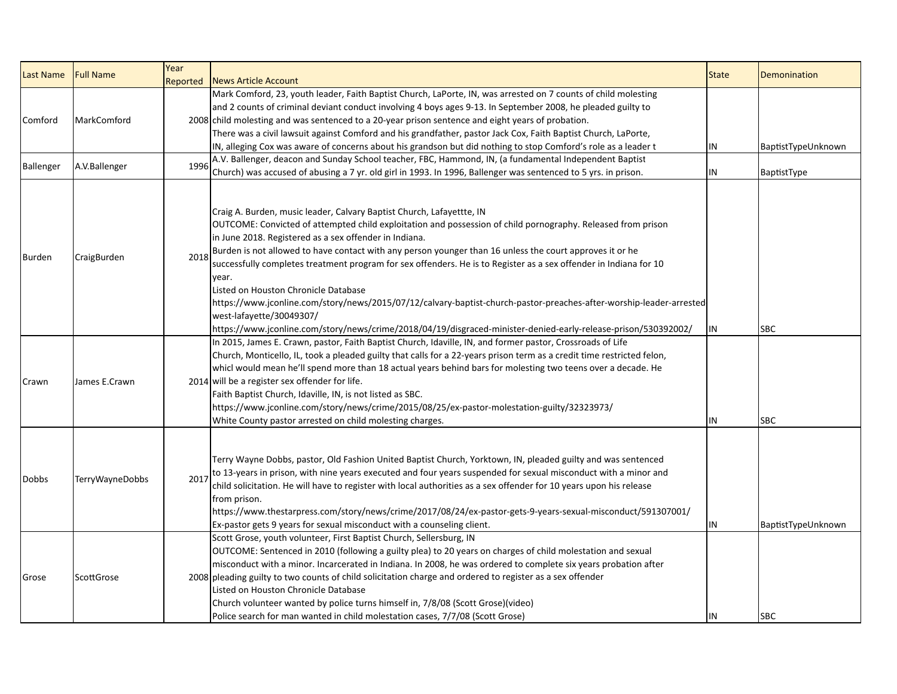|               |                  | Year     |                                                                                                                                                                                                                                                                                                                                                                                                                                                                                                                                                                                                                                                                                                                                                                                                        |              |                    |
|---------------|------------------|----------|--------------------------------------------------------------------------------------------------------------------------------------------------------------------------------------------------------------------------------------------------------------------------------------------------------------------------------------------------------------------------------------------------------------------------------------------------------------------------------------------------------------------------------------------------------------------------------------------------------------------------------------------------------------------------------------------------------------------------------------------------------------------------------------------------------|--------------|--------------------|
| Last Name     | <b>Full Name</b> | Reported | <b>News Article Account</b>                                                                                                                                                                                                                                                                                                                                                                                                                                                                                                                                                                                                                                                                                                                                                                            | <b>State</b> | Demonination       |
|               |                  |          | Mark Comford, 23, youth leader, Faith Baptist Church, LaPorte, IN, was arrested on 7 counts of child molesting                                                                                                                                                                                                                                                                                                                                                                                                                                                                                                                                                                                                                                                                                         |              |                    |
| Comford       | MarkComford      |          | and 2 counts of criminal deviant conduct involving 4 boys ages 9-13. In September 2008, he pleaded guilty to                                                                                                                                                                                                                                                                                                                                                                                                                                                                                                                                                                                                                                                                                           |              |                    |
|               |                  |          | 2008 child molesting and was sentenced to a 20-year prison sentence and eight years of probation.                                                                                                                                                                                                                                                                                                                                                                                                                                                                                                                                                                                                                                                                                                      |              |                    |
|               |                  |          | There was a civil lawsuit against Comford and his grandfather, pastor Jack Cox, Faith Baptist Church, LaPorte,                                                                                                                                                                                                                                                                                                                                                                                                                                                                                                                                                                                                                                                                                         |              |                    |
|               |                  |          | IN, alleging Cox was aware of concerns about his grandson but did nothing to stop Comford's role as a leader t                                                                                                                                                                                                                                                                                                                                                                                                                                                                                                                                                                                                                                                                                         | IN           | BaptistTypeUnknown |
|               |                  |          | A.V. Ballenger, deacon and Sunday School teacher, FBC, Hammond, IN, (a fundamental Independent Baptist                                                                                                                                                                                                                                                                                                                                                                                                                                                                                                                                                                                                                                                                                                 |              |                    |
| Ballenger     | A.V.Ballenger    | 1996     | Church) was accused of abusing a 7 yr. old girl in 1993. In 1996, Ballenger was sentenced to 5 yrs. in prison.                                                                                                                                                                                                                                                                                                                                                                                                                                                                                                                                                                                                                                                                                         | IN           | BaptistType        |
| <b>Burden</b> | CraigBurden      | 2018     | Craig A. Burden, music leader, Calvary Baptist Church, Lafayettte, IN<br>OUTCOME: Convicted of attempted child exploitation and possession of child pornography. Released from prison<br>in June 2018. Registered as a sex offender in Indiana.<br>Burden is not allowed to have contact with any person younger than 16 unless the court approves it or he<br>successfully completes treatment program for sex offenders. He is to Register as a sex offender in Indiana for 10<br>year.<br>Listed on Houston Chronicle Database<br>https://www.jconline.com/story/news/2015/07/12/calvary-baptist-church-pastor-preaches-after-worship-leader-arrested<br>west-lafayette/30049307/<br>https://www.jconline.com/story/news/crime/2018/04/19/disgraced-minister-denied-early-release-prison/530392002/ | IN           | <b>SBC</b>         |
| Crawn         | James E.Crawn    |          | In 2015, James E. Crawn, pastor, Faith Baptist Church, Idaville, IN, and former pastor, Crossroads of Life<br>Church, Monticello, IL, took a pleaded guilty that calls for a 22-years prison term as a credit time restricted felon,<br>whicl would mean he'll spend more than 18 actual years behind bars for molesting two teens over a decade. He<br>2014 will be a register sex offender for life.<br>Faith Baptist Church, Idaville, IN, is not listed as SBC.<br>https://www.jconline.com/story/news/crime/2015/08/25/ex-pastor-molestation-guilty/32323973/<br>White County pastor arrested on child molesting charges.                                                                                                                                                                         | IN           | <b>SBC</b>         |
| Dobbs         | TerryWayneDobbs  | 201      | Terry Wayne Dobbs, pastor, Old Fashion United Baptist Church, Yorktown, IN, pleaded guilty and was sentenced<br>to 13-years in prison, with nine years executed and four years suspended for sexual misconduct with a minor and<br>child solicitation. He will have to register with local authorities as a sex offender for 10 years upon his release<br>from prison.<br>https://www.thestarpress.com/story/news/crime/2017/08/24/ex-pastor-gets-9-years-sexual-misconduct/591307001/<br>Ex-pastor gets 9 years for sexual misconduct with a counseling client.                                                                                                                                                                                                                                       | IN           | BaptistTypeUnknown |
| Grose         | ScottGrose       |          | Scott Grose, youth volunteer, First Baptist Church, Sellersburg, IN<br>OUTCOME: Sentenced in 2010 (following a guilty plea) to 20 years on charges of child molestation and sexual<br>misconduct with a minor. Incarcerated in Indiana. In 2008, he was ordered to complete six years probation after<br>2008 pleading guilty to two counts of child solicitation charge and ordered to register as a sex offender<br>Listed on Houston Chronicle Database<br>Church volunteer wanted by police turns himself in, 7/8/08 (Scott Grose)(video)<br>Police search for man wanted in child molestation cases, 7/7/08 (Scott Grose)                                                                                                                                                                         | IN           | <b>SBC</b>         |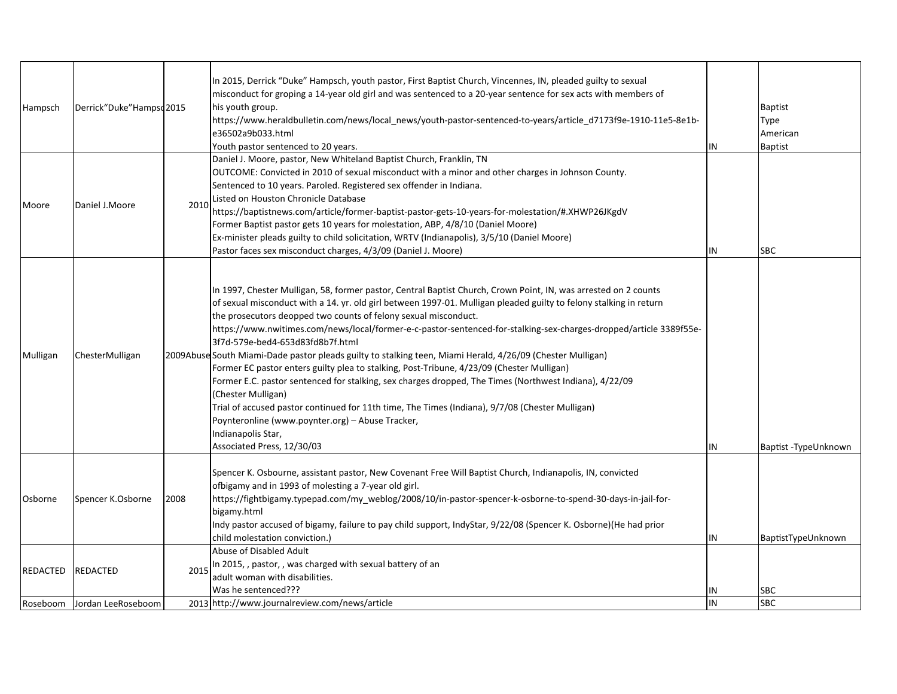| Hampsch                     | Derrick"Duke"Hampsd2015               |      | In 2015, Derrick "Duke" Hampsch, youth pastor, First Baptist Church, Vincennes, IN, pleaded guilty to sexual<br>misconduct for groping a 14-year old girl and was sentenced to a 20-year sentence for sex acts with members of<br>his youth group.<br>https://www.heraldbulletin.com/news/local_news/youth-pastor-sentenced-to-years/article_d7173f9e-1910-11e5-8e1b-<br>e36502a9b033.html<br>Youth pastor sentenced to 20 years.                                                                                                                                                                                                                                                                                                                                                                                                                                                                                                                                                                                        | IN       | <b>Baptist</b><br>Type<br>American<br><b>Baptist</b> |
|-----------------------------|---------------------------------------|------|--------------------------------------------------------------------------------------------------------------------------------------------------------------------------------------------------------------------------------------------------------------------------------------------------------------------------------------------------------------------------------------------------------------------------------------------------------------------------------------------------------------------------------------------------------------------------------------------------------------------------------------------------------------------------------------------------------------------------------------------------------------------------------------------------------------------------------------------------------------------------------------------------------------------------------------------------------------------------------------------------------------------------|----------|------------------------------------------------------|
| Moore                       | Daniel J.Moore                        | 2010 | Daniel J. Moore, pastor, New Whiteland Baptist Church, Franklin, TN<br>OUTCOME: Convicted in 2010 of sexual misconduct with a minor and other charges in Johnson County.<br>Sentenced to 10 years. Paroled. Registered sex offender in Indiana.<br>Listed on Houston Chronicle Database<br>https://baptistnews.com/article/former-baptist-pastor-gets-10-years-for-molestation/#.XHWP26JKgdV<br>Former Baptist pastor gets 10 years for molestation, ABP, 4/8/10 (Daniel Moore)<br>Ex-minister pleads guilty to child solicitation, WRTV (Indianapolis), 3/5/10 (Daniel Moore)<br>Pastor faces sex misconduct charges, 4/3/09 (Daniel J. Moore)                                                                                                                                                                                                                                                                                                                                                                          | IN       | <b>SBC</b>                                           |
| Mulligan                    | ChesterMulligan                       |      | In 1997, Chester Mulligan, 58, former pastor, Central Baptist Church, Crown Point, IN, was arrested on 2 counts<br>of sexual misconduct with a 14. yr. old girl between 1997-01. Mulligan pleaded guilty to felony stalking in return<br>the prosecutors deopped two counts of felony sexual misconduct.<br>https://www.nwitimes.com/news/local/former-e-c-pastor-sentenced-for-stalking-sex-charges-dropped/article 3389f55e-<br>3f7d-579e-bed4-653d83fd8b7f.html<br>2009Abuse South Miami-Dade pastor pleads guilty to stalking teen, Miami Herald, 4/26/09 (Chester Mulligan)<br>Former EC pastor enters guilty plea to stalking, Post-Tribune, 4/23/09 (Chester Mulligan)<br>Former E.C. pastor sentenced for stalking, sex charges dropped, The Times (Northwest Indiana), 4/22/09<br>(Chester Mulligan)<br>Trial of accused pastor continued for 11th time, The Times (Indiana), 9/7/08 (Chester Mulligan)<br>Poynteronline (www.poynter.org) - Abuse Tracker,<br>Indianapolis Star,<br>Associated Press, 12/30/03 | IN       | Baptist -TypeUnknown                                 |
| Osborne                     | Spencer K.Osborne                     | 2008 | Spencer K. Osbourne, assistant pastor, New Covenant Free Will Baptist Church, Indianapolis, IN, convicted<br>ofbigamy and in 1993 of molesting a 7-year old girl.<br>https://fightbigamy.typepad.com/my_weblog/2008/10/in-pastor-spencer-k-osborne-to-spend-30-days-in-jail-for-<br>bigamy.html<br>Indy pastor accused of bigamy, failure to pay child support, IndyStar, 9/22/08 (Spencer K. Osborne)(He had prior<br>child molestation conviction.)                                                                                                                                                                                                                                                                                                                                                                                                                                                                                                                                                                    | IN       | BaptistTypeUnknown                                   |
| <b>REDACTED</b><br>Roseboom | <b>REDACTED</b><br>Jordan LeeRoseboom | 2015 | Abuse of Disabled Adult<br>In 2015, , pastor, , was charged with sexual battery of an<br>adult woman with disabilities.<br>Was he sentenced???<br>2013 http://www.journalreview.com/news/article                                                                                                                                                                                                                                                                                                                                                                                                                                                                                                                                                                                                                                                                                                                                                                                                                         | IN<br>IN | SBC<br><b>SBC</b>                                    |